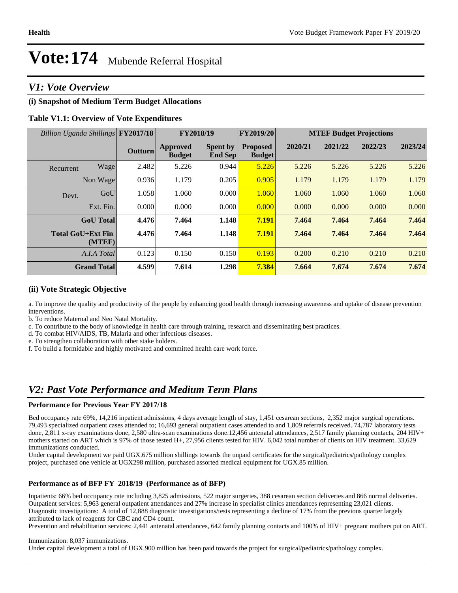### *V1: Vote Overview*

#### **(i) Snapshot of Medium Term Budget Allocations**

#### **Table V1.1: Overview of Vote Expenditures**

| Billion Uganda Shillings FY2017/18 |                    |                |                                  | FY2018/19                  | <b>FY2019/20</b>                 | <b>MTEF Budget Projections</b> |         |         |         |
|------------------------------------|--------------------|----------------|----------------------------------|----------------------------|----------------------------------|--------------------------------|---------|---------|---------|
|                                    |                    | <b>Outturn</b> | <b>Approved</b><br><b>Budget</b> | <b>Spent by</b><br>End Sep | <b>Proposed</b><br><b>Budget</b> | 2020/21                        | 2021/22 | 2022/23 | 2023/24 |
| Recurrent                          | Wage               | 2.482          | 5.226                            | 0.944                      | 5.226                            | 5.226                          | 5.226   | 5.226   | 5.226   |
|                                    | Non Wage           | 0.936          | 1.179                            | 0.205                      | 0.905                            | 1.179                          | 1.179   | 1.179   | 1.179   |
| Devt.                              | GoU                | 1.058          | 1.060                            | 0.000                      | 1.060                            | 1.060                          | 1.060   | 1.060   | 1.060   |
|                                    | Ext. Fin.          | 0.000          | 0.000                            | 0.000                      | 0.000                            | 0.000                          | 0.000   | 0.000   | 0.000   |
|                                    | <b>GoU</b> Total   | 4.476          | 7.464                            | 1.148                      | 7.191                            | 7.464                          | 7.464   | 7.464   | 7.464   |
| <b>Total GoU+Ext Fin</b>           | (MTEF)             | 4.476          | 7.464                            | 1.148                      | 7.191                            | 7.464                          | 7.464   | 7.464   | 7.464   |
|                                    | A.I.A Total        | 0.123          | 0.150                            | 0.150                      | 0.193                            | 0.200                          | 0.210   | 0.210   | 0.210   |
|                                    | <b>Grand Total</b> | 4.599          | 7.614                            | 1.298                      | 7.384                            | 7.664                          | 7.674   | 7.674   | 7.674   |

#### **(ii) Vote Strategic Objective**

a. To improve the quality and productivity of the people by enhancing good health through increasing awareness and uptake of disease prevention interventions.

b. To reduce Maternal and Neo Natal Mortality.

c. To contribute to the body of knowledge in health care through training, research and disseminating best practices.

d. To combat HIV/AIDS, TB, Malaria and other infectious diseases.

e. To strengthen collaboration with other stake holders.

f. To build a formidable and highly motivated and committed health care work force.

### *V2: Past Vote Performance and Medium Term Plans*

#### **Performance for Previous Year FY 2017/18**

Bed occupancy rate 69%, 14,216 inpatient admissions, 4 days average length of stay, 1,451 cesarean sections, 2,352 major surgical operations. 79,493 specialized outpatient cases attended to; 16,693 general outpatient cases attended to and 1,809 referrals received. 74,787 laboratory tests done, 2,811 x-ray examinations done, 2,580 ultra-scan examinations done.12,456 antenatal attendances, 2,517 family planning contacts, 204 HIV+ mothers started on ART which is 97% of those tested H+, 27,956 clients tested for HIV. 6,042 total number of clients on HIV treatment. 33,629 immunizations conducted.

Under capital development we paid UGX.675 million shillings towards the unpaid certificates for the surgical/pediatrics/pathology complex project, purchased one vehicle at UGX298 million, purchased assorted medical equipment for UGX.85 million.

#### **Performance as of BFP FY 2018/19 (Performance as of BFP)**

Inpatients: 66% bed occupancy rate including 3,825 admissions, 522 major surgeries, 388 cesarean section deliveries and 866 normal deliveries. Outpatient services: 5,963 general outpatient attendances and 27% increase in specialist clinics attendances representing 23,021 clients. Diagnostic investigations: A total of 12,888 diagnostic investigations/tests representing a decline of 17% from the previous quarter largely attributed to lack of reagents for CBC and CD4 count.

Prevention and rehabilitation services: 2,441 antenatal attendances, 642 family planning contacts and 100% of HIV+ pregnant mothers put on ART.

#### Immunization: 8,037 immunizations.

Under capital development a total of UGX.900 million has been paid towards the project for surgical/pediatrics/pathology complex.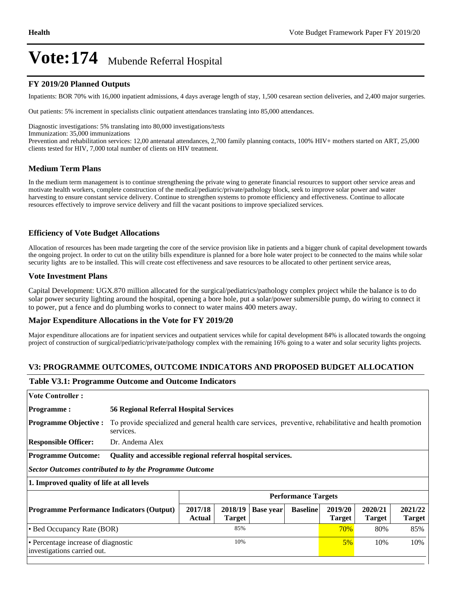#### **FY 2019/20 Planned Outputs**

Inpatients: BOR 70% with 16,000 inpatient admissions, 4 days average length of stay, 1,500 cesarean section deliveries, and 2,400 major surgeries.

Out patients: 5% increment in specialists clinic outpatient attendances translating into 85,000 attendances.

Diagnostic investigations: 5% translating into 80,000 investigations/tests

Immunization: 35,000 immunizations

Prevention and rehabilitation services: 12,00 antenatal attendances, 2,700 family planning contacts, 100% HIV+ mothers started on ART, 25,000 clients tested for HIV, 7,000 total number of clients on HIV treatment.

#### **Medium Term Plans**

In the medium term management is to continue strengthening the private wing to generate financial resources to support other service areas and motivate health workers, complete construction of the medical/pediatric/private/pathology block, seek to improve solar power and water harvesting to ensure constant service delivery. Continue to strengthen systems to promote efficiency and effectiveness. Continue to allocate resources effectively to improve service delivery and fill the vacant positions to improve specialized services.

#### **Efficiency of Vote Budget Allocations**

Allocation of resources has been made targeting the core of the service provision like in patients and a bigger chunk of capital development towards the ongoing project. In order to cut on the utility bills expenditure is planned for a bore hole water project to be connected to the mains while solar security lights are to be installed. This will create cost effectiveness and save resources to be allocated to other pertinent service areas,

#### **Vote Investment Plans**

Capital Development: UGX.870 million allocated for the surgical/pediatrics/pathology complex project while the balance is to do solar power security lighting around the hospital, opening a bore hole, put a solar/power submersible pump, do wiring to connect it to power, put a fence and do plumbing works to connect to water mains 400 meters away.

#### **Major Expenditure Allocations in the Vote for FY 2019/20**

Major expenditure allocations are for inpatient services and outpatient services while for capital development 84% is allocated towards the ongoing project of construction of surgical/pediatric/private/pathology complex with the remaining 16% going to a water and solar security lights projects.

#### **V3: PROGRAMME OUTCOMES, OUTCOME INDICATORS AND PROPOSED BUDGET ALLOCATION**

#### **Table V3.1: Programme Outcome and Outcome Indicators**

| <b>Vote Controller:</b>                                            |                                                             |                                                                                                          |                  |                 |                            |                          |                          |  |  |
|--------------------------------------------------------------------|-------------------------------------------------------------|----------------------------------------------------------------------------------------------------------|------------------|-----------------|----------------------------|--------------------------|--------------------------|--|--|
| <b>Programme:</b>                                                  |                                                             | <b>56 Regional Referral Hospital Services</b>                                                            |                  |                 |                            |                          |                          |  |  |
| <b>Programme Objective:</b>                                        | services.                                                   | To provide specialized and general health care services, preventive, rehabilitative and health promotion |                  |                 |                            |                          |                          |  |  |
| <b>Responsible Officer:</b>                                        | Dr. Andema Alex                                             |                                                                                                          |                  |                 |                            |                          |                          |  |  |
| <b>Programme Outcome:</b>                                          | Quality and accessible regional referral hospital services. |                                                                                                          |                  |                 |                            |                          |                          |  |  |
| <b>Sector Outcomes contributed to by the Programme Outcome</b>     |                                                             |                                                                                                          |                  |                 |                            |                          |                          |  |  |
| 1. Improved quality of life at all levels                          |                                                             |                                                                                                          |                  |                 |                            |                          |                          |  |  |
|                                                                    |                                                             |                                                                                                          |                  |                 | <b>Performance Targets</b> |                          |                          |  |  |
| <b>Programme Performance Indicators (Output)</b>                   | 2017/18<br>Actual                                           | 2018/19<br><b>Target</b>                                                                                 | <b>Base year</b> | <b>Baseline</b> | 2019/20<br><b>Target</b>   | 2020/21<br><b>Target</b> | 2021/22<br><b>Target</b> |  |  |
| • Bed Occupancy Rate (BOR)                                         | 85%                                                         |                                                                                                          |                  |                 | 70%                        | 80%                      | 85%                      |  |  |
| • Percentage increase of diagnostic<br>investigations carried out. |                                                             | 10%                                                                                                      |                  |                 | $5\%$                      | 10%                      | 10%                      |  |  |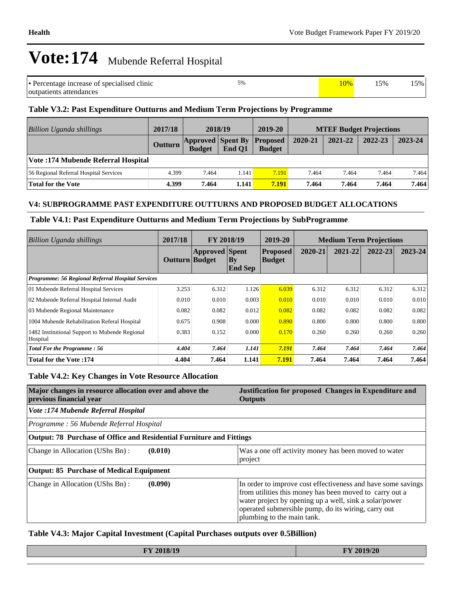| • Percentage increase of specialised clinic | 5% | 10% | 15% | $5\%$ |
|---------------------------------------------|----|-----|-----|-------|
| outpatients attendances                     |    |     |     |       |

#### **Table V3.2: Past Expenditure Outturns and Medium Term Projections by Programme**

| Billion Uganda shillings               | 2017/18 | 2018/19                                   |        | 2019-20                          | <b>MTEF Budget Projections</b> |         |         |         |
|----------------------------------------|---------|-------------------------------------------|--------|----------------------------------|--------------------------------|---------|---------|---------|
|                                        | Outturn | <b>Approved</b> Spent By<br><b>Budget</b> | End O1 | <b>Proposed</b><br><b>Budget</b> | 2020-21                        | 2021-22 | 2022-23 | 2023-24 |
| Vote: 174 Mubende Referral Hospital    |         |                                           |        |                                  |                                |         |         |         |
| 56 Regional Referral Hospital Services | 4.399   | 7.464                                     | 1.141  | 7.191                            | 7.464                          | 7.464   | 7.464   | 7.464   |
| <b>Total for the Vote</b>              | 4.399   | 7.464                                     | 1.141  | 7.191                            | 7.464                          | 7.464   | 7.464   | 7.464   |

#### **V4: SUBPROGRAMME PAST EXPENDITURE OUTTURNS AND PROPOSED BUDGET ALLOCATIONS**

#### **Table V4.1: Past Expenditure Outturns and Medium Term Projections by SubProgramme**

| Billion Uganda shillings                                   | 2017/18        | <b>FY 2018/19</b>     |                                          | 2019-20                          | <b>Medium Term Projections</b> |         |         |         |
|------------------------------------------------------------|----------------|-----------------------|------------------------------------------|----------------------------------|--------------------------------|---------|---------|---------|
|                                                            | Outturn Budget | <b>Approved</b> Spent | $\mathbf{B}\mathbf{y}$<br><b>End Sep</b> | <b>Proposed</b><br><b>Budget</b> | 2020-21                        | 2021-22 | 2022-23 | 2023-24 |
| Programme: 56 Regional Referral Hospital Services          |                |                       |                                          |                                  |                                |         |         |         |
| 01 Mubende Referral Hospital Services                      | 3.253          | 6.312                 | 1.126                                    | 6.039                            | 6.312                          | 6.312   | 6.312   | 6.312   |
| 02 Mubende Referral Hospital Internal Audit                | 0.010          | 0.010                 | 0.003                                    | 0.010                            | 0.010                          | 0.010   | 0.010   | 0.010   |
| 03 Mubende Regional Maintenance                            | 0.082          | 0.082                 | 0.012                                    | 0.082                            | 0.082                          | 0.082   | 0.082   | 0.082   |
| 1004 Mubende Rehabilitation Referal Hospital               | 0.675          | 0.908                 | 0.000                                    | 0.890                            | 0.800                          | 0.800   | 0.800   | 0.800   |
| 1482 Institutional Support to Mubende Regional<br>Hospital | 0.383          | 0.152                 | 0.000                                    | 0.170                            | 0.260                          | 0.260   | 0.260   | 0.260   |
| <b>Total For the Programme: 56</b>                         | 4.404          | 7.464                 | 1.141                                    | 7.191                            | 7.464                          | 7.464   | 7.464   | 7.464   |
| <b>Total for the Vote:174</b>                              | 4.404          | 7.464                 | 1.141                                    | 7.191                            | 7.464                          | 7.464   | 7.464   | 7.464   |

#### **Table V4.2: Key Changes in Vote Resource Allocation**

| Major changes in resource allocation over and above the<br>previous financial year | Justification for proposed Changes in Expenditure and<br><b>Outputs</b>                                                                                                                                                                                                |
|------------------------------------------------------------------------------------|------------------------------------------------------------------------------------------------------------------------------------------------------------------------------------------------------------------------------------------------------------------------|
| Vote :174 Mubende Referral Hospital                                                |                                                                                                                                                                                                                                                                        |
| Programme: 56 Mubende Referral Hospital                                            |                                                                                                                                                                                                                                                                        |
| Output: 78 Purchase of Office and Residential Furniture and Fittings               |                                                                                                                                                                                                                                                                        |
| Change in Allocation (UShs Bn):<br>(0.010)                                         | Was a one off activity money has been moved to water<br>project                                                                                                                                                                                                        |
| Output: 85 Purchase of Medical Equipment                                           |                                                                                                                                                                                                                                                                        |
| Change in Allocation (UShs Bn):<br>(0.090)                                         | In order to improve cost effectiveness and have some savings<br>from utilities this money has been moved to carry out a<br>water project by opening up a well, sink a solar/power<br>operated submersible pump, do its wiring, carry out<br>plumbing to the main tank. |

#### **Table V4.3: Major Capital Investment (Capital Purchases outputs over 0.5Billion)**

| 2018/19<br>$\mathbf{L}$ | 2019/20<br>$- F$<br><b>STATE OF BUILDING</b> |
|-------------------------|----------------------------------------------|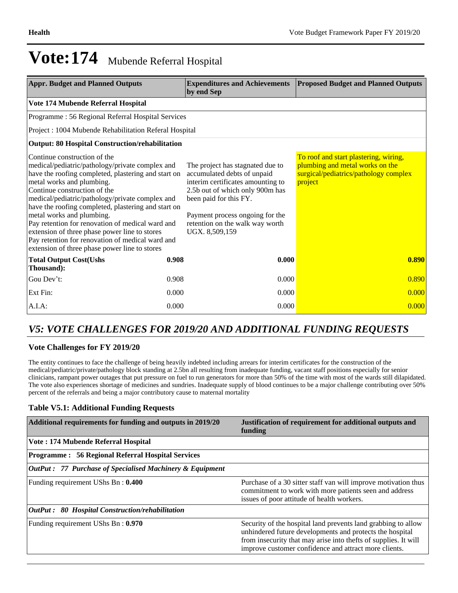| <b>Appr. Budget and Planned Outputs</b>                                                                                                                                                                                                                                                                                                                                                                                                                                                                                                              |                                                   | <b>Expenditures and Achievements</b><br>by end Sep                                                                                                                                                                                                        | <b>Proposed Budget and Planned Outputs</b>                                                                                   |  |  |  |  |  |
|------------------------------------------------------------------------------------------------------------------------------------------------------------------------------------------------------------------------------------------------------------------------------------------------------------------------------------------------------------------------------------------------------------------------------------------------------------------------------------------------------------------------------------------------------|---------------------------------------------------|-----------------------------------------------------------------------------------------------------------------------------------------------------------------------------------------------------------------------------------------------------------|------------------------------------------------------------------------------------------------------------------------------|--|--|--|--|--|
| Vote 174 Mubende Referral Hospital                                                                                                                                                                                                                                                                                                                                                                                                                                                                                                                   |                                                   |                                                                                                                                                                                                                                                           |                                                                                                                              |  |  |  |  |  |
|                                                                                                                                                                                                                                                                                                                                                                                                                                                                                                                                                      | Programme: 56 Regional Referral Hospital Services |                                                                                                                                                                                                                                                           |                                                                                                                              |  |  |  |  |  |
| Project: 1004 Mubende Rehabilitation Referal Hospital                                                                                                                                                                                                                                                                                                                                                                                                                                                                                                |                                                   |                                                                                                                                                                                                                                                           |                                                                                                                              |  |  |  |  |  |
| <b>Output: 80 Hospital Construction/rehabilitation</b>                                                                                                                                                                                                                                                                                                                                                                                                                                                                                               |                                                   |                                                                                                                                                                                                                                                           |                                                                                                                              |  |  |  |  |  |
| Continue construction of the<br>medical/pediatric/pathology/private complex and<br>have the roofing completed, plastering and start on<br>metal works and plumbing.<br>Continue construction of the<br>medical/pediatric/pathology/private complex and<br>have the roofing completed, plastering and start on<br>metal works and plumbing.<br>Pay retention for renovation of medical ward and<br>extension of three phase power line to stores<br>Pay retention for renovation of medical ward and<br>extension of three phase power line to stores |                                                   | The project has stagnated due to<br>accumulated debts of unpaid<br>interim certificates amounting to<br>2.5b out of which only 900m has<br>been paid for this FY.<br>Payment process ongoing for the<br>retention on the walk way worth<br>UGX. 8,509,159 | To roof and start plastering, wiring,<br>plumbing and metal works on the<br>surgical/pediatrics/pathology complex<br>project |  |  |  |  |  |
| <b>Total Output Cost(Ushs</b><br>Thousand):                                                                                                                                                                                                                                                                                                                                                                                                                                                                                                          | 0.908                                             | 0.000                                                                                                                                                                                                                                                     | 0.890                                                                                                                        |  |  |  |  |  |
| Gou Dev't:                                                                                                                                                                                                                                                                                                                                                                                                                                                                                                                                           | 0.908                                             | 0.000                                                                                                                                                                                                                                                     | 0.890                                                                                                                        |  |  |  |  |  |
| Ext Fin:                                                                                                                                                                                                                                                                                                                                                                                                                                                                                                                                             | 0.000                                             | 0.000                                                                                                                                                                                                                                                     | 0.000                                                                                                                        |  |  |  |  |  |
| A.I.A.                                                                                                                                                                                                                                                                                                                                                                                                                                                                                                                                               | 0.000                                             | 0.000                                                                                                                                                                                                                                                     | 0.000                                                                                                                        |  |  |  |  |  |

### *V5: VOTE CHALLENGES FOR 2019/20 AND ADDITIONAL FUNDING REQUESTS*

#### **Vote Challenges for FY 2019/20**

The entity continues to face the challenge of being heavily indebted including arrears for interim certificates for the construction of the medical/pediatric/private/pathology block standing at 2.5bn all resulting from inadequate funding, vacant staff positions especially for senior clinicians, rampant power outages that put pressure on fuel to run generators for more than 50% of the time with most of the wards still dilapidated. The vote also experiences shortage of medicines and sundries. Inadequate supply of blood continues to be a major challenge contributing over 50% percent of the referrals and being a major contributory cause to maternal mortality

#### **Table V5.1: Additional Funding Requests**

| Additional requirements for funding and outputs in 2019/20          | Justification of requirement for additional outputs and<br>funding                                                                                                                                                                                     |
|---------------------------------------------------------------------|--------------------------------------------------------------------------------------------------------------------------------------------------------------------------------------------------------------------------------------------------------|
| Vote: 174 Mubende Referral Hospital                                 |                                                                                                                                                                                                                                                        |
| <b>Programme: 56 Regional Referral Hospital Services</b>            |                                                                                                                                                                                                                                                        |
| <b>OutPut: 77 Purchase of Specialised Machinery &amp; Equipment</b> |                                                                                                                                                                                                                                                        |
| Funding requirement UShs Bn: 0.400                                  | Purchase of a 30 sitter staff van will improve motivation thus<br>commitment to work with more patients seen and address<br>issues of poor attitude of health workers.                                                                                 |
| <b>OutPut: 80 Hospital Construction/rehabilitation</b>              |                                                                                                                                                                                                                                                        |
| Funding requirement UShs Bn: 0.970                                  | Security of the hospital land prevents land grabbing to allow<br>unhindered future developments and protects the hospital<br>from insecurity that may arise into the fts of supplies. It will<br>improve customer confidence and attract more clients. |